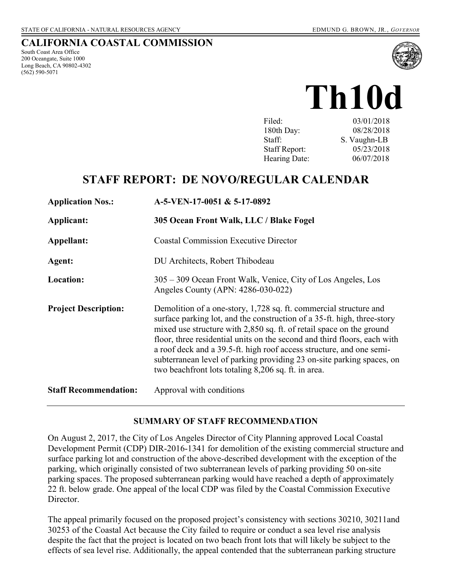# **CALIFORNIA COASTAL COMMISSION**

South Coast Area Office 200 Oceangate, Suite 1000 Long Beach, CA 90802-4302 (562) 590-5071



03/01/2018 180th Day: 08/28/2018 Staff: S. Vaughn-LB Staff Report: 05/23/2018 Hearing Date: 06/07/2018

# **STAFF REPORT: DE NOVO/REGULAR CALENDAR**

| <b>Application Nos.:</b>     | A-5-VEN-17-0051 & 5-17-0892                                                                                                                                                                                                                                                                                                                                                                                                                                                                              |
|------------------------------|----------------------------------------------------------------------------------------------------------------------------------------------------------------------------------------------------------------------------------------------------------------------------------------------------------------------------------------------------------------------------------------------------------------------------------------------------------------------------------------------------------|
| Applicant:                   | 305 Ocean Front Walk, LLC / Blake Fogel                                                                                                                                                                                                                                                                                                                                                                                                                                                                  |
| Appellant:                   | <b>Coastal Commission Executive Director</b>                                                                                                                                                                                                                                                                                                                                                                                                                                                             |
| Agent:                       | DU Architects, Robert Thibodeau                                                                                                                                                                                                                                                                                                                                                                                                                                                                          |
| <b>Location:</b>             | 305 – 309 Ocean Front Walk, Venice, City of Los Angeles, Los<br>Angeles County (APN: 4286-030-022)                                                                                                                                                                                                                                                                                                                                                                                                       |
| <b>Project Description:</b>  | Demolition of a one-story, 1,728 sq. ft. commercial structure and<br>surface parking lot, and the construction of a 35-ft. high, three-story<br>mixed use structure with 2,850 sq. ft. of retail space on the ground<br>floor, three residential units on the second and third floors, each with<br>a roof deck and a 39.5-ft. high roof access structure, and one semi-<br>subterranean level of parking providing 23 on-site parking spaces, on<br>two beachfront lots totaling 8,206 sq. ft. in area. |
| <b>Staff Recommendation:</b> | Approval with conditions                                                                                                                                                                                                                                                                                                                                                                                                                                                                                 |

## **SUMMARY OF STAFF RECOMMENDATION**

On August 2, 2017, the City of Los Angeles Director of City Planning approved Local Coastal Development Permit (CDP) DIR-2016-1341 for demolition of the existing commercial structure and surface parking lot and construction of the above-described development with the exception of the parking, which originally consisted of two subterranean levels of parking providing 50 on-site parking spaces. The proposed subterranean parking would have reached a depth of approximately 22 ft. below grade. One appeal of the local CDP was filed by the Coastal Commission Executive Director.

The appeal primarily focused on the proposed project's consistency with sections 30210, 30211and 30253 of the Coastal Act because the City failed to require or conduct a sea level rise analysis despite the fact that the project is located on two beach front lots that will likely be subject to the effects of sea level rise. Additionally, the appeal contended that the subterranean parking structure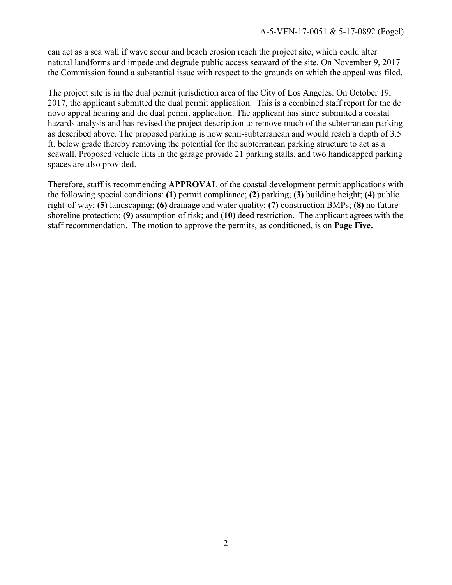can act as a sea wall if wave scour and beach erosion reach the project site, which could alter natural landforms and impede and degrade public access seaward of the site. On November 9, 2017 the Commission found a substantial issue with respect to the grounds on which the appeal was filed.

The project site is in the dual permit jurisdiction area of the City of Los Angeles. On October 19, 2017, the applicant submitted the dual permit application. This is a combined staff report for the de novo appeal hearing and the dual permit application. The applicant has since submitted a coastal hazards analysis and has revised the project description to remove much of the subterranean parking as described above. The proposed parking is now semi-subterranean and would reach a depth of 3.5 ft. below grade thereby removing the potential for the subterranean parking structure to act as a seawall. Proposed vehicle lifts in the garage provide 21 parking stalls, and two handicapped parking spaces are also provided.

Therefore, staff is recommending **APPROVAL** of the coastal development permit applications with the following special conditions: **(1)** permit compliance; **(2)** parking; **(3)** building height; **(4)** public right-of-way; **(5)** landscaping; **(6)** drainage and water quality; **(7)** construction BMPs; **(8)** no future shoreline protection; **(9)** assumption of risk; and **(10)** deed restriction. The applicant agrees with the staff recommendation. The motion to approve the permits, as conditioned, is on **Page Five.**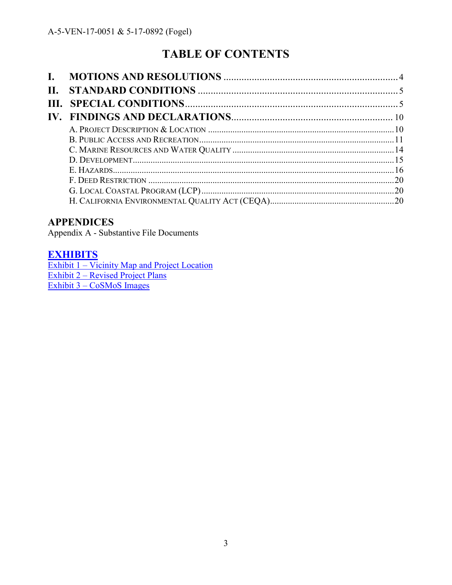# **TABLE OF CONTENTS**

| $\mathbf{I}$ . |  |
|----------------|--|
| П.             |  |
|                |  |
|                |  |
|                |  |
|                |  |
|                |  |
|                |  |
|                |  |
|                |  |
|                |  |
|                |  |

# **APPENDICES**

Appendix A - Substantive File Documents

# **[EXHIBITS](https://documents.coastal.ca.gov/reports/2018/6/Th10d/Th10d-6-2018-exhibits.pdf)**

Exhibit 1 – Vicinity Map and Project Location Exhibit 2 – [Revised Project Plans](https://documents.coastal.ca.gov/reports/2018/6/Th10d/Th10d-6-2018-exhibits.pdf)  [Exhibit 3 – CoSMoS Images](https://documents.coastal.ca.gov/reports/2018/6/Th10d/Th10d-6-2018-exhibits.pdf)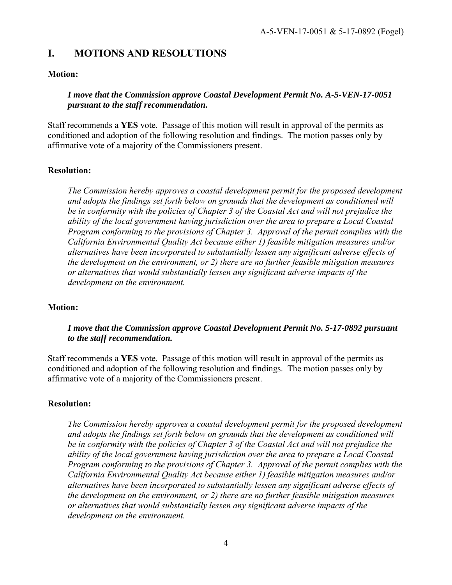# <span id="page-3-0"></span>**I. MOTIONS AND RESOLUTIONS**

## **Motion:**

## *I move that the Commission approve Coastal Development Permit No. A-5-VEN-17-0051 pursuant to the staff recommendation.*

Staff recommends a **YES** vote. Passage of this motion will result in approval of the permits as conditioned and adoption of the following resolution and findings. The motion passes only by affirmative vote of a majority of the Commissioners present.

# **Resolution:**

*The Commission hereby approves a coastal development permit for the proposed development and adopts the findings set forth below on grounds that the development as conditioned will be in conformity with the policies of Chapter 3 of the Coastal Act and will not prejudice the ability of the local government having jurisdiction over the area to prepare a Local Coastal Program conforming to the provisions of Chapter 3. Approval of the permit complies with the California Environmental Quality Act because either 1) feasible mitigation measures and/or alternatives have been incorporated to substantially lessen any significant adverse effects of the development on the environment, or 2) there are no further feasible mitigation measures or alternatives that would substantially lessen any significant adverse impacts of the development on the environment.*

## **Motion:**

## *I move that the Commission approve Coastal Development Permit No. 5-17-0892 pursuant to the staff recommendation.*

Staff recommends a **YES** vote. Passage of this motion will result in approval of the permits as conditioned and adoption of the following resolution and findings. The motion passes only by affirmative vote of a majority of the Commissioners present.

## **Resolution:**

*The Commission hereby approves a coastal development permit for the proposed development and adopts the findings set forth below on grounds that the development as conditioned will be in conformity with the policies of Chapter 3 of the Coastal Act and will not prejudice the ability of the local government having jurisdiction over the area to prepare a Local Coastal Program conforming to the provisions of Chapter 3. Approval of the permit complies with the California Environmental Quality Act because either 1) feasible mitigation measures and/or alternatives have been incorporated to substantially lessen any significant adverse effects of the development on the environment, or 2) there are no further feasible mitigation measures or alternatives that would substantially lessen any significant adverse impacts of the development on the environment.*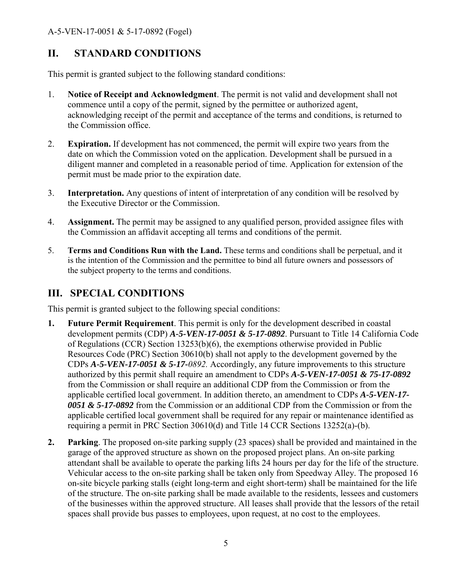# <span id="page-4-0"></span>**II. STANDARD CONDITIONS**

This permit is granted subject to the following standard conditions:

- 1. **Notice of Receipt and Acknowledgment**. The permit is not valid and development shall not commence until a copy of the permit, signed by the permittee or authorized agent, acknowledging receipt of the permit and acceptance of the terms and conditions, is returned to the Commission office.
- 2. **Expiration.** If development has not commenced, the permit will expire two years from the date on which the Commission voted on the application. Development shall be pursued in a diligent manner and completed in a reasonable period of time. Application for extension of the permit must be made prior to the expiration date.
- 3. **Interpretation.** Any questions of intent of interpretation of any condition will be resolved by the Executive Director or the Commission.
- 4. **Assignment.** The permit may be assigned to any qualified person, provided assignee files with the Commission an affidavit accepting all terms and conditions of the permit.
- 5. **Terms and Conditions Run with the Land.** These terms and conditions shall be perpetual, and it is the intention of the Commission and the permittee to bind all future owners and possessors of the subject property to the terms and conditions.

# <span id="page-4-1"></span>**III. SPECIAL CONDITIONS**

This permit is granted subject to the following special conditions:

- **1. Future Permit Requirement**. This permit is only for the development described in coastal development permits (CDP) *A-5-VEN-17-0051 & 5-17-0892*. Pursuant to Title 14 California Code of Regulations (CCR) Section 13253(b)(6), the exemptions otherwise provided in Public Resources Code (PRC) Section 30610(b) shall not apply to the development governed by the CDPs *A-5-VEN-17-0051 & 5-17-0892.* Accordingly, any future improvements to this structure authorized by this permit shall require an amendment to CDPs *A-5-VEN-17-0051 & 75-17-0892* from the Commission or shall require an additional CDP from the Commission or from the applicable certified local government. In addition thereto, an amendment to CDPs *A-5-VEN-17- 0051 & 5-17-0892* from the Commission or an additional CDP from the Commission or from the applicable certified local government shall be required for any repair or maintenance identified as requiring a permit in PRC Section 30610(d) and Title 14 CCR Sections 13252(a)-(b).
- **2. Parking**. The proposed on-site parking supply (23 spaces) shall be provided and maintained in the garage of the approved structure as shown on the proposed project plans. An on-site parking attendant shall be available to operate the parking lifts 24 hours per day for the life of the structure. Vehicular access to the on-site parking shall be taken only from Speedway Alley. The proposed 16 on-site bicycle parking stalls (eight long-term and eight short-term) shall be maintained for the life of the structure. The on-site parking shall be made available to the residents, lessees and customers of the businesses within the approved structure. All leases shall provide that the lessors of the retail spaces shall provide bus passes to employees, upon request, at no cost to the employees.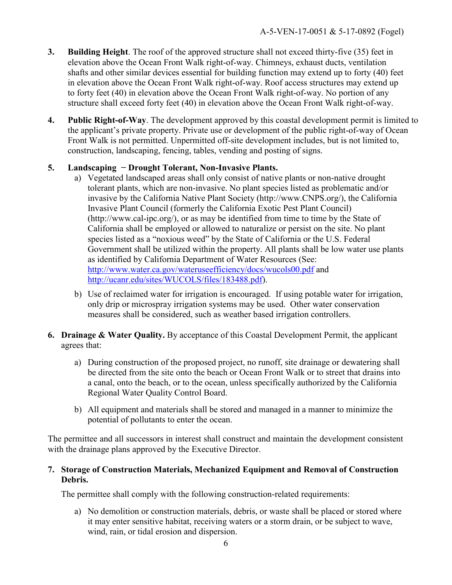- **3. Building Height**. The roof of the approved structure shall not exceed thirty-five (35) feet in elevation above the Ocean Front Walk right-of-way. Chimneys, exhaust ducts, ventilation shafts and other similar devices essential for building function may extend up to forty (40) feet in elevation above the Ocean Front Walk right-of-way. Roof access structures may extend up to forty feet (40) in elevation above the Ocean Front Walk right-of-way. No portion of any structure shall exceed forty feet (40) in elevation above the Ocean Front Walk right-of-way.
- **4. Public Right-of-Way**. The development approved by this coastal development permit is limited to the applicant's private property. Private use or development of the public right-of-way of Ocean Front Walk is not permitted. Unpermitted off-site development includes, but is not limited to, construction, landscaping, fencing, tables, vending and posting of signs.

# **5. Landscaping − Drought Tolerant, Non-Invasive Plants.**

- a) Vegetated landscaped areas shall only consist of native plants or non-native drought tolerant plants, which are non-invasive. No plant species listed as problematic and/or invasive by the California Native Plant Society (http://www.CNPS.org/), the California Invasive Plant Council (formerly the California Exotic Pest Plant Council) (http://www.cal-ipc.org/), or as may be identified from time to time by the State of California shall be employed or allowed to naturalize or persist on the site. No plant species listed as a "noxious weed" by the State of California or the U.S. Federal Government shall be utilized within the property. All plants shall be low water use plants as identified by California Department of Water Resources (See: <http://www.water.ca.gov/wateruseefficiency/docs/wucols00.pdf> and [http://ucanr.edu/sites/WUCOLS/files/183488.pdf\)](http://ucanr.edu/sites/WUCOLS/files/183488.pdf).
- b) Use of reclaimed water for irrigation is encouraged. If using potable water for irrigation, only drip or microspray irrigation systems may be used. Other water conservation measures shall be considered, such as weather based irrigation controllers.
- **6. Drainage & Water Quality.** By acceptance of this Coastal Development Permit, the applicant agrees that:
	- a) During construction of the proposed project, no runoff, site drainage or dewatering shall be directed from the site onto the beach or Ocean Front Walk or to street that drains into a canal, onto the beach, or to the ocean, unless specifically authorized by the California Regional Water Quality Control Board.
	- b) All equipment and materials shall be stored and managed in a manner to minimize the potential of pollutants to enter the ocean.

The permittee and all successors in interest shall construct and maintain the development consistent with the drainage plans approved by the Executive Director.

## **7. Storage of Construction Materials, Mechanized Equipment and Removal of Construction Debris.**

The permittee shall comply with the following construction-related requirements:

a) No demolition or construction materials, debris, or waste shall be placed or stored where it may enter sensitive habitat, receiving waters or a storm drain, or be subject to wave, wind, rain, or tidal erosion and dispersion.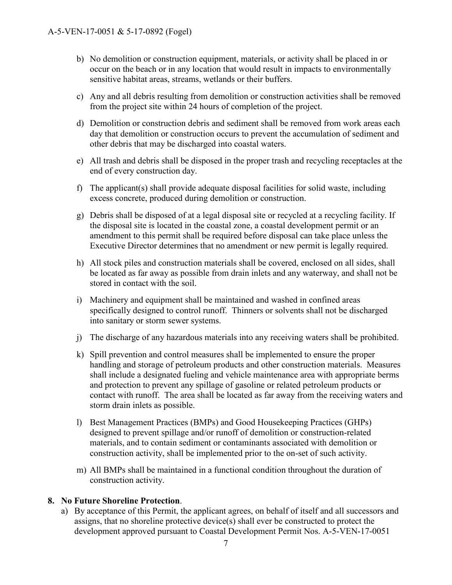- b) No demolition or construction equipment, materials, or activity shall be placed in or occur on the beach or in any location that would result in impacts to environmentally sensitive habitat areas, streams, wetlands or their buffers.
- c) Any and all debris resulting from demolition or construction activities shall be removed from the project site within 24 hours of completion of the project.
- d) Demolition or construction debris and sediment shall be removed from work areas each day that demolition or construction occurs to prevent the accumulation of sediment and other debris that may be discharged into coastal waters.
- e) All trash and debris shall be disposed in the proper trash and recycling receptacles at the end of every construction day.
- f) The applicant(s) shall provide adequate disposal facilities for solid waste, including excess concrete, produced during demolition or construction.
- g) Debris shall be disposed of at a legal disposal site or recycled at a recycling facility. If the disposal site is located in the coastal zone, a coastal development permit or an amendment to this permit shall be required before disposal can take place unless the Executive Director determines that no amendment or new permit is legally required.
- h) All stock piles and construction materials shall be covered, enclosed on all sides, shall be located as far away as possible from drain inlets and any waterway, and shall not be stored in contact with the soil.
- i) Machinery and equipment shall be maintained and washed in confined areas specifically designed to control runoff. Thinners or solvents shall not be discharged into sanitary or storm sewer systems.
- j) The discharge of any hazardous materials into any receiving waters shall be prohibited.
- k) Spill prevention and control measures shall be implemented to ensure the proper handling and storage of petroleum products and other construction materials. Measures shall include a designated fueling and vehicle maintenance area with appropriate berms and protection to prevent any spillage of gasoline or related petroleum products or contact with runoff. The area shall be located as far away from the receiving waters and storm drain inlets as possible.
- l) Best Management Practices (BMPs) and Good Housekeeping Practices (GHPs) designed to prevent spillage and/or runoff of demolition or construction-related materials, and to contain sediment or contaminants associated with demolition or construction activity, shall be implemented prior to the on-set of such activity.
- m) All BMPs shall be maintained in a functional condition throughout the duration of construction activity.

#### **8. No Future Shoreline Protection**.

a) By acceptance of this Permit, the applicant agrees, on behalf of itself and all successors and assigns, that no shoreline protective device(s) shall ever be constructed to protect the development approved pursuant to Coastal Development Permit Nos. A-5-VEN-17-0051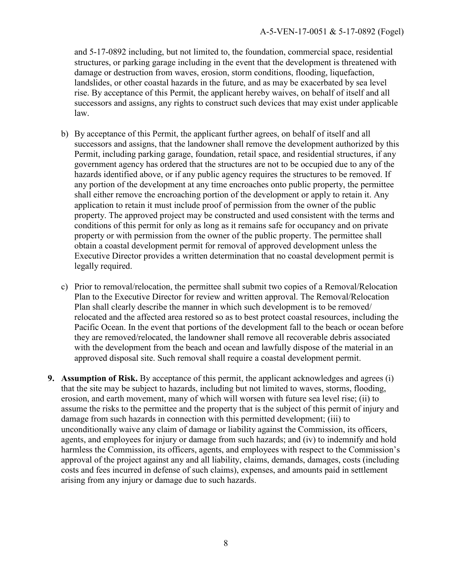and 5-17-0892 including, but not limited to, the foundation, commercial space, residential structures, or parking garage including in the event that the development is threatened with damage or destruction from waves, erosion, storm conditions, flooding, liquefaction, landslides, or other coastal hazards in the future, and as may be exacerbated by sea level rise. By acceptance of this Permit, the applicant hereby waives, on behalf of itself and all successors and assigns, any rights to construct such devices that may exist under applicable law.

- b) By acceptance of this Permit, the applicant further agrees, on behalf of itself and all successors and assigns, that the landowner shall remove the development authorized by this Permit, including parking garage, foundation, retail space, and residential structures, if any government agency has ordered that the structures are not to be occupied due to any of the hazards identified above, or if any public agency requires the structures to be removed. If any portion of the development at any time encroaches onto public property, the permittee shall either remove the encroaching portion of the development or apply to retain it. Any application to retain it must include proof of permission from the owner of the public property. The approved project may be constructed and used consistent with the terms and conditions of this permit for only as long as it remains safe for occupancy and on private property or with permission from the owner of the public property. The permittee shall obtain a coastal development permit for removal of approved development unless the Executive Director provides a written determination that no coastal development permit is legally required.
- c) Prior to removal/relocation, the permittee shall submit two copies of a Removal/Relocation Plan to the Executive Director for review and written approval. The Removal/Relocation Plan shall clearly describe the manner in which such development is to be removed/ relocated and the affected area restored so as to best protect coastal resources, including the Pacific Ocean. In the event that portions of the development fall to the beach or ocean before they are removed/relocated, the landowner shall remove all recoverable debris associated with the development from the beach and ocean and lawfully dispose of the material in an approved disposal site. Such removal shall require a coastal development permit.
- **9. Assumption of Risk.** By acceptance of this permit, the applicant acknowledges and agrees (i) that the site may be subject to hazards, including but not limited to waves, storms, flooding, erosion, and earth movement, many of which will worsen with future sea level rise; (ii) to assume the risks to the permittee and the property that is the subject of this permit of injury and damage from such hazards in connection with this permitted development; (iii) to unconditionally waive any claim of damage or liability against the Commission, its officers, agents, and employees for injury or damage from such hazards; and (iv) to indemnify and hold harmless the Commission, its officers, agents, and employees with respect to the Commission's approval of the project against any and all liability, claims, demands, damages, costs (including costs and fees incurred in defense of such claims), expenses, and amounts paid in settlement arising from any injury or damage due to such hazards.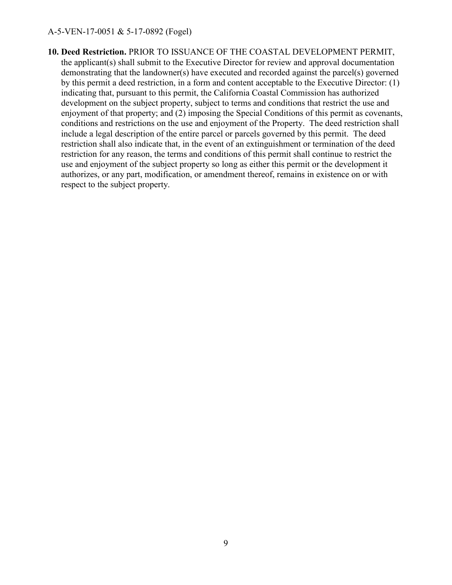<span id="page-8-0"></span>**10. Deed Restriction.** PRIOR TO ISSUANCE OF THE COASTAL DEVELOPMENT PERMIT, the applicant(s) shall submit to the Executive Director for review and approval documentation demonstrating that the landowner(s) have executed and recorded against the parcel(s) governed by this permit a deed restriction, in a form and content acceptable to the Executive Director: (1) indicating that, pursuant to this permit, the California Coastal Commission has authorized development on the subject property, subject to terms and conditions that restrict the use and enjoyment of that property; and (2) imposing the Special Conditions of this permit as covenants, conditions and restrictions on the use and enjoyment of the Property. The deed restriction shall include a legal description of the entire parcel or parcels governed by this permit. The deed restriction shall also indicate that, in the event of an extinguishment or termination of the deed restriction for any reason, the terms and conditions of this permit shall continue to restrict the use and enjoyment of the subject property so long as either this permit or the development it authorizes, or any part, modification, or amendment thereof, remains in existence on or with respect to the subject property.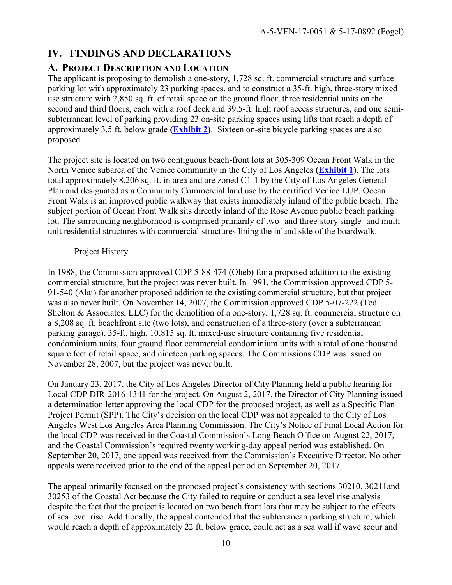# **IV. FINDINGS AND DECLARATIONS**

# <span id="page-9-0"></span>**A. PROJECT DESCRIPTION AND LOCATION**

The applicant is proposing to demolish a one-story, 1,728 sq. ft. commercial structure and surface parking lot with approximately 23 parking spaces, and to construct a 35-ft. high, three-story mixed use structure with 2,850 sq. ft. of retail space on the ground floor, three residential units on the second and third floors, each with a roof deck and 39.5-ft. high roof access structures, and one semisubterranean level of parking providing 23 on-site parking spaces using lifts that reach a depth of approximately 3.5 ft. below grade **[\(Exhibit 2\)](https://documents.coastal.ca.gov/reports/2018/6/Th10d/Th10d-6-2018-exhibits.pdf)**. Sixteen on-site bicycle parking spaces are also proposed.

The project site is located on two contiguous beach-front lots at 305-309 Ocean Front Walk in the North Venice subarea of the Venice community in the City of Los Angeles **[\(Exhibit 1\)](https://documents.coastal.ca.gov/reports/2018/6/Th10d/Th10d-6-2018-exhibits.pdf)**. The lots total approximately 8,206 sq. ft. in area and are zoned C1-1 by the City of Los Angeles General Plan and designated as a Community Commercial land use by the certified Venice LUP. Ocean Front Walk is an improved public walkway that exists immediately inland of the public beach. The subject portion of Ocean Front Walk sits directly inland of the Rose Avenue public beach parking lot. The surrounding neighborhood is comprised primarily of two- and three-story single- and multiunit residential structures with commercial structures lining the inland side of the boardwalk.

# Project History

In 1988, the Commission approved CDP 5-88-474 (Oheb) for a proposed addition to the existing commercial structure, but the project was never built. In 1991, the Commission approved CDP 5- 91-540 (Alai) for another proposed addition to the existing commercial structure, but that project was also never built. On November 14, 2007, the Commission approved CDP 5-07-222 (Ted Shelton & Associates, LLC) for the demolition of a one-story, 1,728 sq. ft. commercial structure on a 8,208 sq. ft. beachfront site (two lots), and construction of a three-story (over a subterranean parking garage), 35-ft. high, 10,815 sq. ft. mixed-use structure containing five residential condominium units, four ground floor commercial condominium units with a total of one thousand square feet of retail space, and nineteen parking spaces. The Commissions CDP was issued on November 28, 2007, but the project was never built.

On January 23, 2017, the City of Los Angeles Director of City Planning held a public hearing for Local CDP DIR-2016-1341 for the project. On August 2, 2017, the Director of City Planning issued a determination letter approving the local CDP for the proposed project, as well as a Specific Plan Project Permit (SPP). The City's decision on the local CDP was not appealed to the City of Los Angeles West Los Angeles Area Planning Commission. The City's Notice of Final Local Action for the local CDP was received in the Coastal Commission's Long Beach Office on August 22, 2017, and the Coastal Commission's required twenty working-day appeal period was established. On September 20, 2017, one appeal was received from the Commission's Executive Director. No other appeals were received prior to the end of the appeal period on September 20, 2017.

The appeal primarily focused on the proposed project's consistency with sections 30210, 30211and 30253 of the Coastal Act because the City failed to require or conduct a sea level rise analysis despite the fact that the project is located on two beach front lots that may be subject to the effects of sea level rise. Additionally, the appeal contended that the subterranean parking structure, which would reach a depth of approximately 22 ft. below grade, could act as a sea wall if wave scour and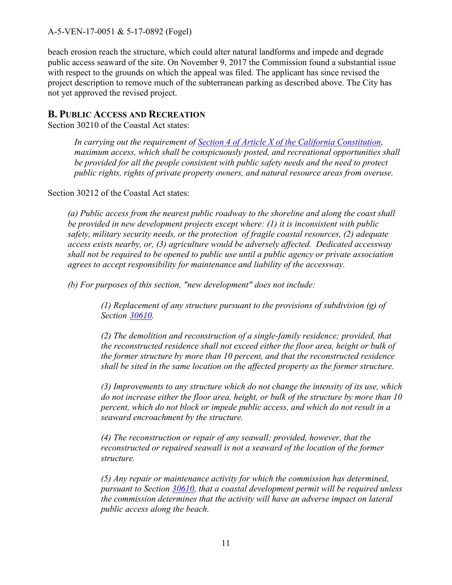beach erosion reach the structure, which could alter natural landforms and impede and degrade public access seaward of the site. On November 9, 2017 the Commission found a substantial issue with respect to the grounds on which the appeal was filed. The applicant has since revised the project description to remove much of the subterranean parking as described above. The City has not yet approved the revised project.

## <span id="page-10-0"></span>**B. PUBLIC ACCESS AND RECREATION**

Section 30210 of the Coastal Act states:

*In carrying out the requirement of [Section 4 of Article X of the California Constitution,](http://www.leginfo.ca.gov/calaw.html) maximum access, which shall be conspicuously posted, and recreational opportunities shall be provided for all the people consistent with public safety needs and the need to protect public rights, rights of private property owners, and natural resource areas from overuse.* 

Section 30212 of the Coastal Act states:

*(a) Public access from the nearest public roadway to the shoreline and along the coast shall be provided in new development projects except where: (1) it is inconsistent with public safety, military security needs, or the protection of fragile coastal resources, (2) adequate access exists nearby, or, (3) agriculture would be adversely affected. Dedicated accessway shall not be required to be opened to public use until a public agency or private association agrees to accept responsibility for maintenance and liability of the accessway.* 

 *(b) For purposes of this section, "new development" does not include:* 

*(1) Replacement of any structure pursuant to the provisions of subdivision (g) of Section 30610.*

*(2) The demolition and reconstruction of a single-family residence; provided, that the reconstructed residence shall not exceed either the floor area, height or bulk of the former structure by more than 10 percent, and that the reconstructed residence shall be sited in the same location on the affected property as the former structure.* 

*(3) Improvements to any structure which do not change the intensity of its use, which do not increase either the floor area, height, or bulk of the structure by more than 10 percent, which do not block or impede public access, and which do not result in a seaward encroachment by the structure.* 

*(4) The reconstruction or repair of any seawall; provided, however, that the reconstructed or repaired seawall is not a seaward of the location of the former structure.*

*(5) Any repair or maintenance activity for which the commission has determined, pursuant to Section 30610, that a coastal development permit will be required unless the commission determines that the activity will have an adverse impact on lateral public access along the beach.*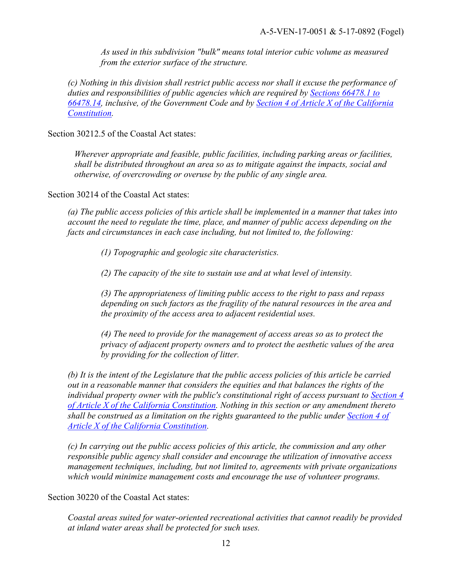*As used in this subdivision "bulk" means total interior cubic volume as measured from the exterior surface of the structure.* 

*(c) Nothing in this division shall restrict public access nor shall it excuse the performance of duties and responsibilities of public agencies which are required by [Sections 66478.1 to](http://www.leginfo.ca.gov/calaw.html)  [66478.14,](http://www.leginfo.ca.gov/calaw.html) inclusive, of the Government Code and by [Section 4 of Article X of the California](http://www.leginfo.ca.gov/calaw.html)  [Constitution.](http://www.leginfo.ca.gov/calaw.html)* 

Section 30212.5 of the Coastal Act states:

*Wherever appropriate and feasible, public facilities, including parking areas or facilities, shall be distributed throughout an area so as to mitigate against the impacts, social and otherwise, of overcrowding or overuse by the public of any single area.* 

Section 30214 of the Coastal Act states:

*(a) The public access policies of this article shall be implemented in a manner that takes into account the need to regulate the time, place, and manner of public access depending on the facts and circumstances in each case including, but not limited to, the following:* 

 *(1) Topographic and geologic site characteristics.* 

 *(2) The capacity of the site to sustain use and at what level of intensity.* 

*(3) The appropriateness of limiting public access to the right to pass and repass depending on such factors as the fragility of the natural resources in the area and the proximity of the access area to adjacent residential uses.* 

*(4) The need to provide for the management of access areas so as to protect the privacy of adjacent property owners and to protect the aesthetic values of the area by providing for the collection of litter.* 

*(b) It is the intent of the Legislature that the public access policies of this article be carried out in a reasonable manner that considers the equities and that balances the rights of the individual property owner with the public's constitutional right of access pursuant to [Section 4](http://www.leginfo.ca.gov/calaw.html)  [of Article X of the California Constitution.](http://www.leginfo.ca.gov/calaw.html) Nothing in this section or any amendment thereto shall be construed as a limitation on the rights guaranteed to the public under [Section 4 of](http://www.leginfo.ca.gov/calaw.html)  [Article X of the California Constitution.](http://www.leginfo.ca.gov/calaw.html)* 

*(c) In carrying out the public access policies of this article, the commission and any other responsible public agency shall consider and encourage the utilization of innovative access management techniques, including, but not limited to, agreements with private organizations which would minimize management costs and encourage the use of volunteer programs.* 

Section 30220 of the Coastal Act states:

*Coastal areas suited for water-oriented recreational activities that cannot readily be provided at inland water areas shall be protected for such uses.*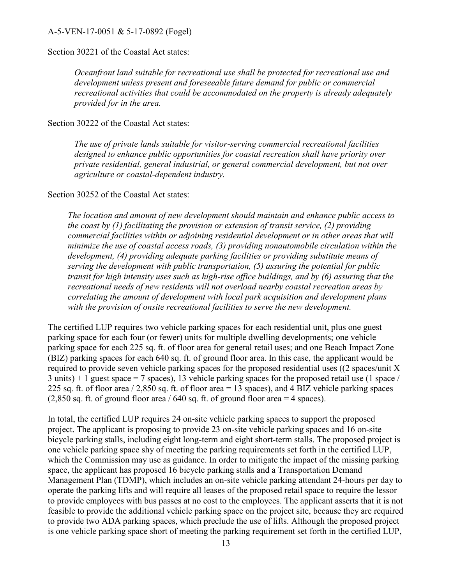#### Section 30221 of the Coastal Act states:

*Oceanfront land suitable for recreational use shall be protected for recreational use and development unless present and foreseeable future demand for public or commercial recreational activities that could be accommodated on the property is already adequately provided for in the area.* 

#### Section 30222 of the Coastal Act states:

*The use of private lands suitable for visitor-serving commercial recreational facilities designed to enhance public opportunities for coastal recreation shall have priority over private residential, general industrial, or general commercial development, but not over agriculture or coastal-dependent industry.* 

#### Section 30252 of the Coastal Act states:

*The location and amount of new development should maintain and enhance public access to the coast by (1) facilitating the provision or extension of transit service, (2) providing commercial facilities within or adjoining residential development or in other areas that will minimize the use of coastal access roads, (3) providing nonautomobile circulation within the development, (4) providing adequate parking facilities or providing substitute means of serving the development with public transportation, (5) assuring the potential for public transit for high intensity uses such as high-rise office buildings, and by (6) assuring that the recreational needs of new residents will not overload nearby coastal recreation areas by correlating the amount of development with local park acquisition and development plans*  with the provision of onsite recreational facilities to serve the new development.

The certified LUP requires two vehicle parking spaces for each residential unit, plus one guest parking space for each four (or fewer) units for multiple dwelling developments; one vehicle parking space for each 225 sq. ft. of floor area for general retail uses; and one Beach Impact Zone (BIZ) parking spaces for each 640 sq. ft. of ground floor area. In this case, the applicant would be required to provide seven vehicle parking spaces for the proposed residential uses ((2 spaces/unit X  $3 \text{ units}$  + 1 guest space = 7 spaces), 13 vehicle parking spaces for the proposed retail use (1 space / 225 sq. ft. of floor area / 2,850 sq. ft. of floor area = 13 spaces), and 4 BIZ vehicle parking spaces  $(2,850 \text{ sq. ft. of ground floor area} / 640 \text{ sq. ft. of ground floor area} = 4 \text{ spaces}).$ 

In total, the certified LUP requires 24 on-site vehicle parking spaces to support the proposed project. The applicant is proposing to provide 23 on-site vehicle parking spaces and 16 on-site bicycle parking stalls, including eight long-term and eight short-term stalls. The proposed project is one vehicle parking space shy of meeting the parking requirements set forth in the certified LUP, which the Commission may use as guidance. In order to mitigate the impact of the missing parking space, the applicant has proposed 16 bicycle parking stalls and a Transportation Demand Management Plan (TDMP), which includes an on-site vehicle parking attendant 24-hours per day to operate the parking lifts and will require all leases of the proposed retail space to require the lessor to provide employees with bus passes at no cost to the employees. The applicant asserts that it is not feasible to provide the additional vehicle parking space on the project site, because they are required to provide two ADA parking spaces, which preclude the use of lifts. Although the proposed project is one vehicle parking space short of meeting the parking requirement set forth in the certified LUP,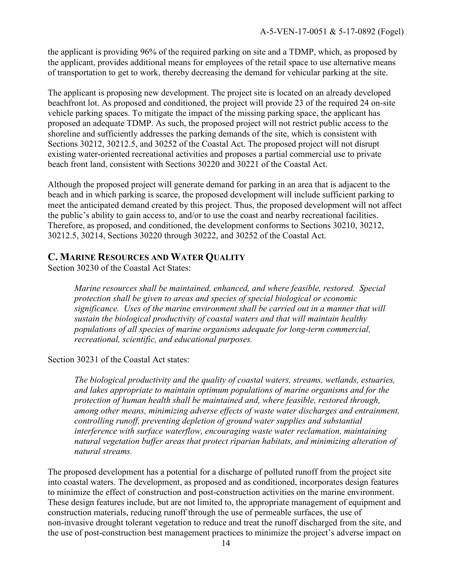the applicant is providing 96% of the required parking on site and a TDMP, which, as proposed by the applicant, provides additional means for employees of the retail space to use alternative means of transportation to get to work, thereby decreasing the demand for vehicular parking at the site.

The applicant is proposing new development. The project site is located on an already developed beachfront lot. As proposed and conditioned, the project will provide 23 of the required 24 on-site vehicle parking spaces. To mitigate the impact of the missing parking space, the applicant has proposed an adequate TDMP. As such, the proposed project will not restrict public access to the shoreline and sufficiently addresses the parking demands of the site, which is consistent with Sections 30212, 30212.5, and 30252 of the Coastal Act. The proposed project will not disrupt existing water-oriented recreational activities and proposes a partial commercial use to private beach front land, consistent with Sections 30220 and 30221 of the Coastal Act.

Although the proposed project will generate demand for parking in an area that is adjacent to the beach and in which parking is scarce, the proposed development will include sufficient parking to meet the anticipated demand created by this project. Thus, the proposed development will not affect the public's ability to gain access to, and/or to use the coast and nearby recreational facilities. Therefore, as proposed, and conditioned, the development conforms to Sections 30210, 30212, 30212.5, 30214, Sections 30220 through 30222, and 30252 of the Coastal Act.

# **C. MARINE RESOURCES AND WATER QUALITY**

Section 30230 of the Coastal Act States:

<span id="page-13-0"></span>*Marine resources shall be maintained, enhanced, and where feasible, restored. Special protection shall be given to areas and species of special biological or economic significance. Uses of the marine environment shall be carried out in a manner that will sustain the biological productivity of coastal waters and that will maintain healthy populations of all species of marine organisms adequate for long-term commercial, recreational, scientific, and educational purposes.* 

Section 30231 of the Coastal Act states:

*The biological productivity and the quality of coastal waters, streams, wetlands, estuaries, and lakes appropriate to maintain optimum populations of marine organisms and for the protection of human health shall be maintained and, where feasible, restored through, among other means, minimizing adverse effects of waste water discharges and entrainment, controlling runoff, preventing depletion of ground water supplies and substantial interference with surface waterflow, encouraging waste water reclamation, maintaining natural vegetation buffer areas that protect riparian habitats, and minimizing alteration of natural streams.* 

The proposed development has a potential for a discharge of polluted runoff from the project site into coastal waters. The development, as proposed and as conditioned, incorporates design features to minimize the effect of construction and post-construction activities on the marine environment. These design features include, but are not limited to, the appropriate management of equipment and construction materials, reducing runoff through the use of permeable surfaces, the use of non-invasive drought tolerant vegetation to reduce and treat the runoff discharged from the site, and the use of post-construction best management practices to minimize the project's adverse impact on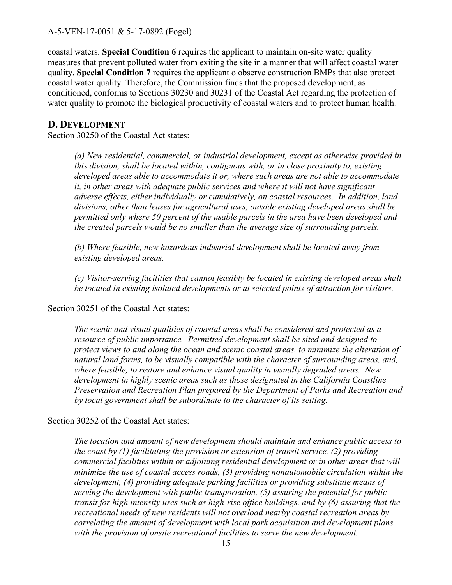coastal waters. **Special Condition 6** requires the applicant to maintain on-site water quality measures that prevent polluted water from exiting the site in a manner that will affect coastal water quality. **Special Condition 7** requires the applicant o observe construction BMPs that also protect coastal water quality. Therefore, the Commission finds that the proposed development, as conditioned, conforms to Sections 30230 and 30231 of the Coastal Act regarding the protection of water quality to promote the biological productivity of coastal waters and to protect human health.

## **D. DEVELOPMENT**

Section 30250 of the Coastal Act states:

*(a) New residential, commercial, or industrial development, except as otherwise provided in this division, shall be located within, contiguous with, or in close proximity to, existing developed areas able to accommodate it or, where such areas are not able to accommodate it, in other areas with adequate public services and where it will not have significant adverse effects, either individually or cumulatively, on coastal resources. In addition, land divisions, other than leases for agricultural uses, outside existing developed areas shall be permitted only where 50 percent of the usable parcels in the area have been developed and the created parcels would be no smaller than the average size of surrounding parcels.* 

*(b) Where feasible, new hazardous industrial development shall be located away from existing developed areas.* 

*(c) Visitor-serving facilities that cannot feasibly be located in existing developed areas shall be located in existing isolated developments or at selected points of attraction for visitors.* 

## Section 30251 of the Coastal Act states:

*The scenic and visual qualities of coastal areas shall be considered and protected as a resource of public importance. Permitted development shall be sited and designed to protect views to and along the ocean and scenic coastal areas, to minimize the alteration of natural land forms, to be visually compatible with the character of surrounding areas, and, where feasible, to restore and enhance visual quality in visually degraded areas. New development in highly scenic areas such as those designated in the California Coastline Preservation and Recreation Plan prepared by the Department of Parks and Recreation and by local government shall be subordinate to the character of its setting.* 

## Section 30252 of the Coastal Act states:

*The location and amount of new development should maintain and enhance public access to the coast by (1) facilitating the provision or extension of transit service, (2) providing commercial facilities within or adjoining residential development or in other areas that will minimize the use of coastal access roads, (3) providing nonautomobile circulation within the development, (4) providing adequate parking facilities or providing substitute means of serving the development with public transportation, (5) assuring the potential for public transit for high intensity uses such as high-rise office buildings, and by (6) assuring that the recreational needs of new residents will not overload nearby coastal recreation areas by correlating the amount of development with local park acquisition and development plans with the provision of onsite recreational facilities to serve the new development.*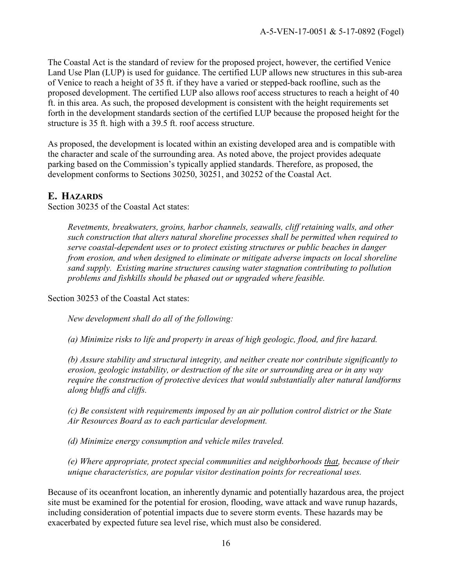The Coastal Act is the standard of review for the proposed project, however, the certified Venice Land Use Plan (LUP) is used for guidance. The certified LUP allows new structures in this sub-area of Venice to reach a height of 35 ft. if they have a varied or stepped-back roofline, such as the proposed development. The certified LUP also allows roof access structures to reach a height of 40 ft. in this area. As such, the proposed development is consistent with the height requirements set forth in the development standards section of the certified LUP because the proposed height for the structure is 35 ft. high with a 39.5 ft. roof access structure.

As proposed, the development is located within an existing developed area and is compatible with the character and scale of the surrounding area. As noted above, the project provides adequate parking based on the Commission's typically applied standards. Therefore, as proposed, the development conforms to Sections 30250, 30251, and 30252 of the Coastal Act.

# **E. HAZARDS**

Section 30235 of the Coastal Act states:

*Revetments, breakwaters, groins, harbor channels, seawalls, cliff retaining walls, and other such construction that alters natural shoreline processes shall be permitted when required to serve coastal-dependent uses or to protect existing structures or public beaches in danger from erosion, and when designed to eliminate or mitigate adverse impacts on local shoreline sand supply. Existing marine structures causing water stagnation contributing to pollution problems and fishkills should be phased out or upgraded where feasible.* 

Section 30253 of the Coastal Act states:

*New development shall do all of the following:*

 *(a) Minimize risks to life and property in areas of high geologic, flood, and fire hazard.* 

*(b) Assure stability and structural integrity, and neither create nor contribute significantly to erosion, geologic instability, or destruction of the site or surrounding area or in any way require the construction of protective devices that would substantially alter natural landforms along bluffs and cliffs.* 

*(c) Be consistent with requirements imposed by an air pollution control district or the State Air Resources Board as to each particular development.* 

 *(d) Minimize energy consumption and vehicle miles traveled.* 

*(e) Where appropriate, protect special communities and neighborhoods that, because of their unique characteristics, are popular visitor destination points for recreational uses.* 

Because of its oceanfront location, an inherently dynamic and potentially hazardous area, the project site must be examined for the potential for erosion, flooding, wave attack and wave runup hazards, including consideration of potential impacts due to severe storm events. These hazards may be exacerbated by expected future sea level rise, which must also be considered.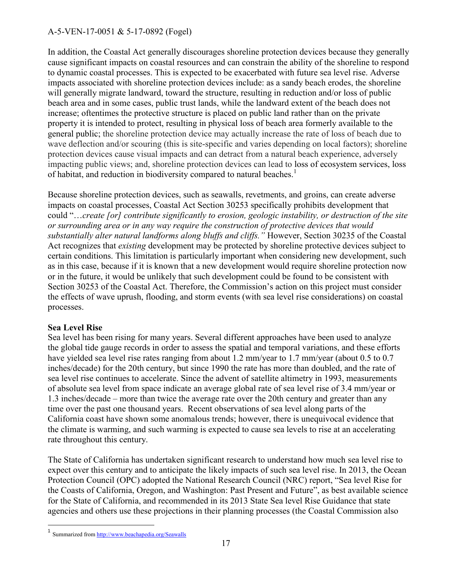In addition, the Coastal Act generally discourages shoreline protection devices because they generally cause significant impacts on coastal resources and can constrain the ability of the shoreline to respond to dynamic coastal processes. This is expected to be exacerbated with future sea level rise. Adverse impacts associated with shoreline protection devices include: as a sandy beach erodes, the shoreline will generally migrate landward, toward the structure, resulting in reduction and/or loss of public beach area and in some cases, public trust lands, while the landward extent of the beach does not increase; oftentimes the protective structure is placed on public land rather than on the private property it is intended to protect, resulting in physical loss of beach area formerly available to the general public; the shoreline protection device may actually increase the rate of loss of beach due to wave deflection and/or scouring (this is site-specific and varies depending on local factors); shoreline protection devices cause visual impacts and can detract from a natural beach experience, adversely impacting public views; and, shoreline protection devices can lead to [loss of ecosystem services,](http://www.esajournals.org/doi/abs/10.1890/14-0716.1) [loss](http://pubs.usgs.gov/sir/2010/5254/pdf/sir20105254_chap19.pdf)  [of habitat, and reduction in biodiversity](http://pubs.usgs.gov/sir/2010/5254/pdf/sir20105254_chap19.pdf) compared to natural beaches.<sup>1</sup>

Because shoreline protection devices, such as seawalls, revetments, and groins, can create adverse impacts on coastal processes, Coastal Act Section 30253 specifically prohibits development that could "…*create [or] contribute significantly to erosion, geologic instability, or destruction of the site or surrounding area or in any way require the construction of protective devices that would substantially alter natural landforms along bluffs and cliffs."* However, Section 30235 of the Coastal Act recognizes that *existing* development may be protected by shoreline protective devices subject to certain conditions. This limitation is particularly important when considering new development, such as in this case, because if it is known that a new development would require shoreline protection now or in the future, it would be unlikely that such development could be found to be consistent with Section 30253 of the Coastal Act. Therefore, the Commission's action on this project must consider the effects of wave uprush, flooding, and storm events (with sea level rise considerations) on coastal processes.

## **Sea Level Rise**

Sea level has been rising for many years. Several different approaches have been used to analyze the global tide gauge records in order to assess the spatial and temporal variations, and these efforts have yielded sea level rise rates ranging from about 1.2 mm/year to 1.7 mm/year (about 0.5 to 0.7 inches/decade) for the 20th century, but since 1990 the rate has more than doubled, and the rate of sea level rise continues to accelerate. Since the advent of satellite altimetry in 1993, measurements of absolute sea level from space indicate an average global rate of sea level rise of 3.4 mm/year or 1.3 inches/decade – more than twice the average rate over the 20th century and greater than any time over the past one thousand years. Recent observations of sea level along parts of the California coast have shown some anomalous trends; however, there is unequivocal evidence that the climate is warming, and such warming is expected to cause sea levels to rise at an accelerating rate throughout this century.

The State of California has undertaken significant research to understand how much sea level rise to expect over this century and to anticipate the likely impacts of such sea level rise. In 2013, the Ocean Protection Council (OPC) adopted the National Research Council (NRC) report, "Sea level Rise for the Coasts of California, Oregon, and Washington: Past Present and Future", as best available science for the State of California, and recommended in its 2013 State Sea level Rise Guidance that state agencies and others use these projections in their planning processes (the Coastal Commission also

<sup>1&</sup>lt;br>Summarized fro[m http://www.beachapedia.org/Seawalls](http://www.beachapedia.org/Seawalls)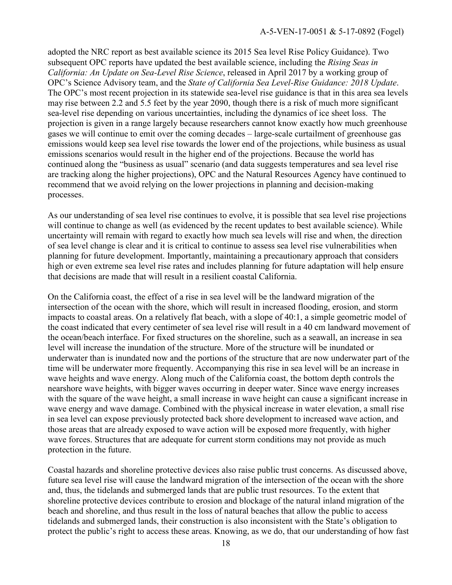adopted the NRC report as best available science its 2015 Sea level Rise Policy Guidance). Two subsequent OPC reports have updated the best available science, including the *Rising Seas in California: An Update on Sea-Level Rise Science*, released in April 2017 by a working group of OPC's Science Advisory team, and the *State of California Sea Level-Rise Guidance: 2018 Update*. The OPC's most recent projection in its statewide sea-level rise guidance is that in this area sea levels may rise between 2.2 and 5.5 feet by the year 2090, though there is a risk of much more significant sea-level rise depending on various uncertainties, including the dynamics of ice sheet loss. The projection is given in a range largely because researchers cannot know exactly how much greenhouse gases we will continue to emit over the coming decades – large-scale curtailment of greenhouse gas emissions would keep sea level rise towards the lower end of the projections, while business as usual emissions scenarios would result in the higher end of the projections. Because the world has continued along the "business as usual" scenario (and data suggests temperatures and sea level rise are tracking along the higher projections), OPC and the Natural Resources Agency have continued to recommend that we avoid relying on the lower projections in planning and decision-making processes.

As our understanding of sea level rise continues to evolve, it is possible that sea level rise projections will continue to change as well (as evidenced by the recent updates to best available science). While uncertainty will remain with regard to exactly how much sea levels will rise and when, the direction of sea level change is clear and it is critical to continue to assess sea level rise vulnerabilities when planning for future development. Importantly, maintaining a precautionary approach that considers high or even extreme sea level rise rates and includes planning for future adaptation will help ensure that decisions are made that will result in a resilient coastal California.

On the California coast, the effect of a rise in sea level will be the landward migration of the intersection of the ocean with the shore, which will result in increased flooding, erosion, and storm impacts to coastal areas. On a relatively flat beach, with a slope of 40:1, a simple geometric model of the coast indicated that every centimeter of sea level rise will result in a 40 cm landward movement of the ocean/beach interface. For fixed structures on the shoreline, such as a seawall, an increase in sea level will increase the inundation of the structure. More of the structure will be inundated or underwater than is inundated now and the portions of the structure that are now underwater part of the time will be underwater more frequently. Accompanying this rise in sea level will be an increase in wave heights and wave energy. Along much of the California coast, the bottom depth controls the nearshore wave heights, with bigger waves occurring in deeper water. Since wave energy increases with the square of the wave height, a small increase in wave height can cause a significant increase in wave energy and wave damage. Combined with the physical increase in water elevation, a small rise in sea level can expose previously protected back shore development to increased wave action, and those areas that are already exposed to wave action will be exposed more frequently, with higher wave forces. Structures that are adequate for current storm conditions may not provide as much protection in the future.

Coastal hazards and shoreline protective devices also raise public trust concerns. As discussed above, future sea level rise will cause the landward migration of the intersection of the ocean with the shore and, thus, the tidelands and submerged lands that are public trust resources. To the extent that shoreline protective devices contribute to erosion and blockage of the natural inland migration of the beach and shoreline, and thus result in the loss of natural beaches that allow the public to access tidelands and submerged lands, their construction is also inconsistent with the State's obligation to protect the public's right to access these areas. Knowing, as we do, that our understanding of how fast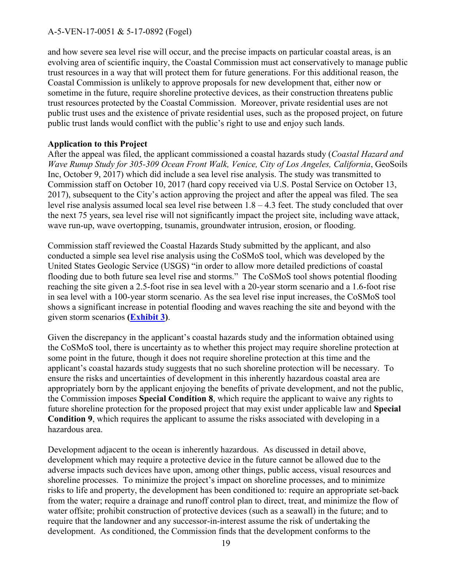and how severe sea level rise will occur, and the precise impacts on particular coastal areas, is an evolving area of scientific inquiry, the Coastal Commission must act conservatively to manage public trust resources in a way that will protect them for future generations. For this additional reason, the Coastal Commission is unlikely to approve proposals for new development that, either now or sometime in the future, require shoreline protective devices, as their construction threatens public trust resources protected by the Coastal Commission. Moreover, private residential uses are not public trust uses and the existence of private residential uses, such as the proposed project, on future public trust lands would conflict with the public's right to use and enjoy such lands.

#### **Application to this Project**

After the appeal was filed, the applicant commissioned a coastal hazards study (*Coastal Hazard and Wave Runup Study for 305-309 Ocean Front Walk, Venice, City of Los Angeles, California*, GeoSoils Inc, October 9, 2017) which did include a sea level rise analysis. The study was transmitted to Commission staff on October 10, 2017 (hard copy received via U.S. Postal Service on October 13, 2017), subsequent to the City's action approving the project and after the appeal was filed. The sea level rise analysis assumed local sea level rise between 1.8 – 4.3 feet. The study concluded that over the next 75 years, sea level rise will not significantly impact the project site, including wave attack, wave run-up, wave overtopping, tsunamis, groundwater intrusion, erosion, or flooding.

Commission staff reviewed the Coastal Hazards Study submitted by the applicant, and also conducted a simple sea level rise analysis using the CoSMoS tool, which was developed by the United States Geologic Service (USGS) "in order to allow more detailed predictions of coastal flooding due to both future sea level rise and storms." The CoSMoS tool shows potential flooding reaching the site given a 2.5-foot rise in sea level with a 20-year storm scenario and a 1.6-foot rise in sea level with a 100-year storm scenario. As the sea level rise input increases, the CoSMoS tool shows a significant increase in potential flooding and waves reaching the site and beyond with the given storm scenarios **[\(Exhibit 3\)](https://documents.coastal.ca.gov/reports/2018/6/Th10d/Th10d-6-2018-exhibits.pdf)**.

Given the discrepancy in the applicant's coastal hazards study and the information obtained using the CoSMoS tool, there is uncertainty as to whether this project may require shoreline protection at some point in the future, though it does not require shoreline protection at this time and the applicant's coastal hazards study suggests that no such shoreline protection will be necessary. To ensure the risks and uncertainties of development in this inherently hazardous coastal area are appropriately born by the applicant enjoying the benefits of private development, and not the public, the Commission imposes **Special Condition 8**, which require the applicant to waive any rights to future shoreline protection for the proposed project that may exist under applicable law and **Special Condition 9**, which requires the applicant to assume the risks associated with developing in a hazardous area.

Development adjacent to the ocean is inherently hazardous. As discussed in detail above, development which may require a protective device in the future cannot be allowed due to the adverse impacts such devices have upon, among other things, public access, visual resources and shoreline processes. To minimize the project's impact on shoreline processes, and to minimize risks to life and property, the development has been conditioned to: require an appropriate set-back from the water; require a drainage and runoff control plan to direct, treat, and minimize the flow of water offsite; prohibit construction of protective devices (such as a seawall) in the future; and to require that the landowner and any successor-in-interest assume the risk of undertaking the development. As conditioned, the Commission finds that the development conforms to the